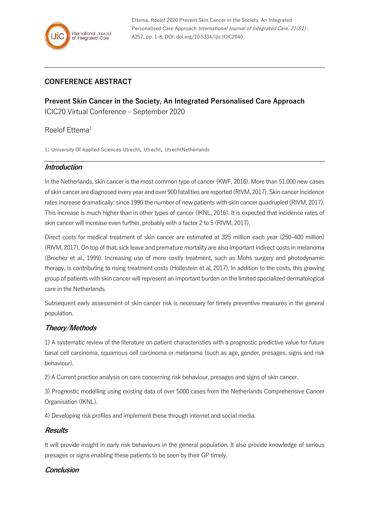# **CONFERENCE ABSTRACT**

**Prevent Skin Cancer in the Society, An Integrated Personalised Care Approach** ICIC20 Virtual Conference – September 2020

# Roelof Ettema<sup>1</sup>

1: University Of Applied Sciences Utrecht, Utrecht, UtrechtNetherlands

### **Introduction**

In the Netherlands, skin cancer is the most common type of cancer (KWF, 2016). More than 51.000 new cases of skin cancer are diagnosed every year and over 900 fatalities are reported (RIVM, 2017). Skin cancer incidence rates increase dramatically: since 1990 the number of new patients with skin cancer quadrupled (RIVM, 2017). This increase is much higher than in other types of cancer (IKNL, 2016). It is expected that incidence rates of skin cancer will increase even further, probably with a factor 2 to 5 (RIVM, 2017).

Direct costs for medical treatment of skin cancer are estimated at 325 million each year (250-400 million) (RIVM, 2017). On top of that, sick leave and premature mortality are also important indirect costs in melanoma (Brochez et al., 1999). Increasing use of more costly treatment, such as Mohs surgery and photodynamic therapy, is contributing to rising treatment costs (Hollestein et al, 2017). In addition to the costs, this growing group of patients with skin cancer will represent an important burden on the limited specialized dermatological care in the Netherlands.

Subsequent early assessment of skin cancer risk is necessary for timely preventive measures in the general population.

## **Theory/Methods**

1) A systematic review of the literature on patient characteristics with a prognostic predictive value for future basal cell carcinoma, squamous cell carcinoma or melanoma (such as age, gender, presages, signs and risk behaviour).

2) A Current practice analysis on care concerning risk behaviour, presages and signs of skin cancer.

3) Prognostic modelling using existing data of over 5000 cases from the Netherlands Comprehensive Cancer Organisation (IKNL).

4) Developing risk profiles and implement these through internet and social media.

### **Results**

It will provide insight in early risk behaviours in the general population. It also provide knowledge of serious presages or signs enabling these patients to be seen by their GP timely.

### **Conclusion**